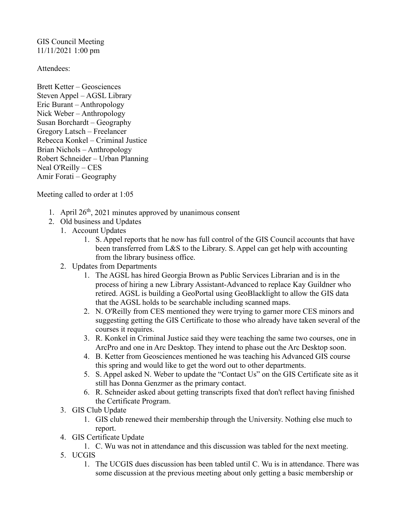GIS Council Meeting 11/11/2021 1:00 pm

Attendees:

Brett Ketter – Geosciences Steven Appel – AGSL Library Eric Burant – Anthropology Nick Weber – Anthropology Susan Borchardt – Geography Gregory Latsch – Freelancer Rebecca Konkel – Criminal Justice Brian Nichols – Anthropology Robert Schneider – Urban Planning Neal O'Reilly – CES Amir Forati – Geography

Meeting called to order at 1:05

- 1. April  $26<sup>th</sup>$ , 2021 minutes approved by unanimous consent
- 2. Old business and Updates
	- 1. Account Updates
		- 1. S. Appel reports that he now has full control of the GIS Council accounts that have been transferred from L&S to the Library. S. Appel can get help with accounting from the library business office.
	- 2. Updates from Departments
		- 1. The AGSL has hired Georgia Brown as Public Services Librarian and is in the process of hiring a new Library Assistant-Advanced to replace Kay Guildner who retired. AGSL is building a GeoPortal using GeoBlacklight to allow the GIS data that the AGSL holds to be searchable including scanned maps.
		- 2. N. O'Reilly from CES mentioned they were trying to garner more CES minors and suggesting getting the GIS Certificate to those who already have taken several of the courses it requires.
		- 3. R. Konkel in Criminal Justice said they were teaching the same two courses, one in ArcPro and one in Arc Desktop. They intend to phase out the Arc Desktop soon.
		- 4. B. Ketter from Geosciences mentioned he was teaching his Advanced GIS course this spring and would like to get the word out to other departments.
		- 5. S. Appel asked N. Weber to update the "Contact Us" on the GIS Certificate site as it still has Donna Genzmer as the primary contact.
		- 6. R. Schneider asked about getting transcripts fixed that don't reflect having finished the Certificate Program.
	- 3. GIS Club Update
		- 1. GIS club renewed their membership through the University. Nothing else much to report.
	- 4. GIS Certificate Update
		- 1. C. Wu was not in attendance and this discussion was tabled for the next meeting.
	- 5. UCGIS
		- 1. The UCGIS dues discussion has been tabled until C. Wu is in attendance. There was some discussion at the previous meeting about only getting a basic membership or